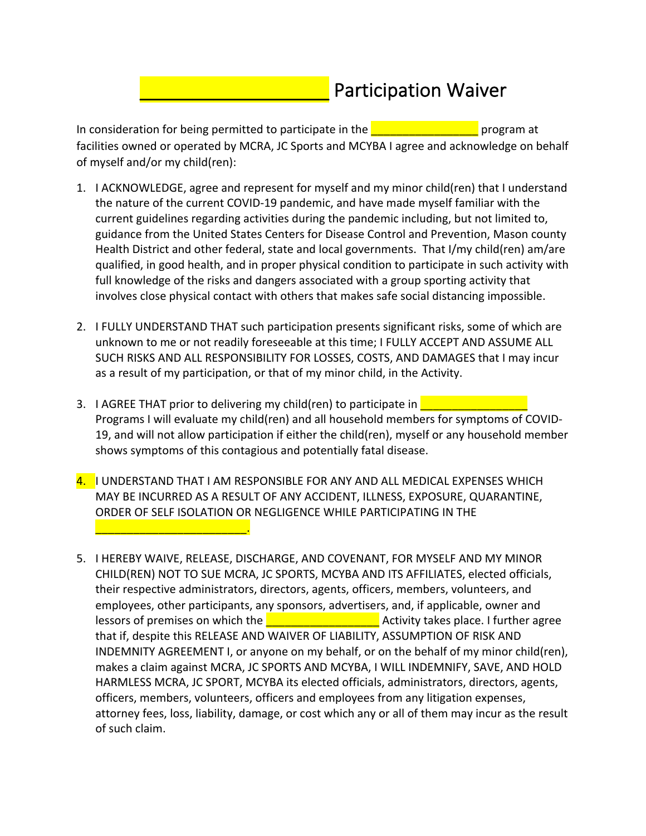## Participation Waiver

In consideration for being permitted to participate in the  $\blacksquare$ facilities owned or operated by MCRA, JC Sports and MCYBA I agree and acknowledge on behalf of myself and/or my child(ren):

- 1. I ACKNOWLEDGE, agree and represent for myself and my minor child(ren) that I understand the nature of the current COVID-19 pandemic, and have made myself familiar with the current guidelines regarding activities during the pandemic including, but not limited to, guidance from the United States Centers for Disease Control and Prevention, Mason county Health District and other federal, state and local governments. That I/my child(ren) am/are qualified, in good health, and in proper physical condition to participate in such activity with full knowledge of the risks and dangers associated with a group sporting activity that involves close physical contact with others that makes safe social distancing impossible.
- 2. I FULLY UNDERSTAND THAT such participation presents significant risks, some of which are unknown to me or not readily foreseeable at this time; I FULLY ACCEPT AND ASSUME ALL SUCH RISKS AND ALL RESPONSIBILITY FOR LOSSES, COSTS, AND DAMAGES that I may incur as a result of my participation, or that of my minor child, in the Activity.
- 3. I AGREE THAT prior to delivering my child(ren) to participate in **Theory** Programs I will evaluate my child(ren) and all household members for symptoms of COVID-19, and will not allow participation if either the child(ren), myself or any household member shows symptoms of this contagious and potentially fatal disease.
- 4. I UNDERSTAND THAT I AM RESPONSIBLE FOR ANY AND ALL MEDICAL EXPENSES WHICH MAY BE INCURRED AS A RESULT OF ANY ACCIDENT, ILLNESS, EXPOSURE, QUARANTINE, ORDER OF SELF ISOLATION OR NEGLIGENCE WHILE PARTICIPATING IN THE

 $\mathcal{L}=\mathcal{L}=\mathcal{L}=\mathcal{L}=\mathcal{L}=\mathcal{L}=\mathcal{L}=\mathcal{L}=\mathcal{L}=\mathcal{L}=\mathcal{L}=\mathcal{L}=\mathcal{L}=\mathcal{L}=\mathcal{L}=\mathcal{L}=\mathcal{L}=\mathcal{L}=\mathcal{L}=\mathcal{L}=\mathcal{L}=\mathcal{L}=\mathcal{L}=\mathcal{L}=\mathcal{L}=\mathcal{L}=\mathcal{L}=\mathcal{L}=\mathcal{L}=\mathcal{L}=\mathcal{L}=\mathcal{L}=\mathcal{L}=\mathcal{L}=\mathcal{L}=\mathcal{L}=\mathcal{$ 

5. I HEREBY WAIVE, RELEASE, DISCHARGE, AND COVENANT, FOR MYSELF AND MY MINOR CHILD(REN) NOT TO SUE MCRA, JC SPORTS, MCYBA AND ITS AFFILIATES, elected officials, their respective administrators, directors, agents, officers, members, volunteers, and employees, other participants, any sponsors, advertisers, and, if applicable, owner and lessors of premises on which the  $\frac{1}{2}$  are  $\frac{1}{2}$  Activity takes place. I further agree that if, despite this RELEASE AND WAIVER OF LIABILITY, ASSUMPTION OF RISK AND INDEMNITY AGREEMENT I, or anyone on my behalf, or on the behalf of my minor child(ren), makes a claim against MCRA, JC SPORTS AND MCYBA, I WILL INDEMNIFY, SAVE, AND HOLD HARMLESS MCRA, JC SPORT, MCYBA its elected officials, administrators, directors, agents, officers, members, volunteers, officers and employees from any litigation expenses, attorney fees, loss, liability, damage, or cost which any or all of them may incur as the result of such claim.